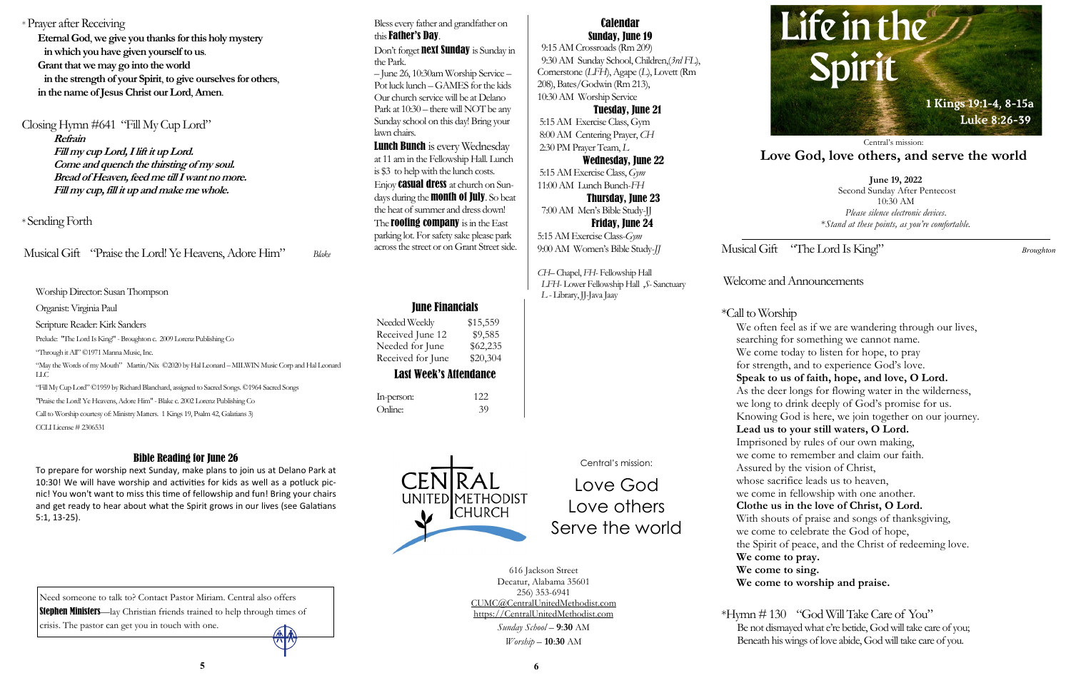Musical Gift "The Lord Is King!" *Broughton* 

### Welcome and Announcements

\*Call to Worship We often feel as if we are wandering through our lives, searching for something we cannot name. We come today to listen for hope, to pray for strength, and to experience God's love. **Speak to us of faith, hope, and love, O Lord.** As the deer longs for flowing water in the wilderness, we long to drink deeply of God's promise for us. Knowing God is here, we join together on our journey. **Lead us to your still waters, O Lord.**  Imprisoned by rules of our own making, we come to remember and claim our faith. Assured by the vision of Christ, whose sacrifice leads us to heaven, we come in fellowship with one another. **Clothe us in the love of Christ, O Lord.** With shouts of praise and songs of thanksgiving, we come to celebrate the God of hope, the Spirit of peace, and the Christ of redeeming love. **We come to pray. We come to sing. We come to worship and praise.**

\*Hymn # 130 "God Will Take Care of You" Be not dismayed what e're betide, God will take care of you; Beneath his wings of love abide, God will take care of you.



Worship Director: Susan Thompson

Organist: Virginia Paul

Scripture Reader: Kirk Sanders

Prelude: "The Lord Is King!" - Broughton c. 2009 Lorenz Publishing Co

"Through it All" ©1971 Manna Music, Inc.

"May the Words of my Mouth" Martin/Nix ©2020 by Hal Leonard – MILWIN Music Corp and Hal Leonard LLC

"Fill My Cup Lord" ©1959 by Richard Blanchard, assigned to Sacred Songs. ©1964 Sacred Songs

"Praise the Lord! Ye Heavens, Adore Him" -Blake c. 2002 Lorenz Publishing Co

Call to Worship courtesy of: Ministry Matters. 1 Kings 19, Psalm 42, Galatians 3)

CCLI License # 2306531

### June Financials

| Needed Weekly     | \$15,559 |
|-------------------|----------|
| Received June 12  | \$9,585  |
| Needed for June   | \$62,235 |
| Received for June | \$20,304 |

### Last Week's Attendance

UNITED METHODIST

**CHURCH** 

| In-person: | 122 |
|------------|-----|
| Online:    | 39  |

**June 19, 2022** Second Sunday After Pentecost 10:30 AM *Please silence electronic devices*. \**Stand at these points, as you're comfortable.*

Don't forget **next Sunday** is Sunday in the Park. – June 26, 10:30am Worship Service – Pot luck lunch –GAMES for the kids Our church service will be at Delano

Central's mission:

## **Love God, love others, and serve the world**

Central's mission:

# Love God Love others Serve the world

616 Jackson Street Decatur, Alabama 35601 256) 353-6941 CUMC@CentralUnitedMethodist.com https://CentralUnitedMethodist.com *Sunday School* – **9**:**30** AM *Worship* – **10**:**30** AM

**Lunch Bunch** is every Wednesday at 11 am in the Fellowship Hall. Lunch is \$3 to help with the lunch costs. Enjoy **casual dress** at church on Sundays during the **month of July**. So beat the heat of summer and dress down! The **roofing company** is in the East parking lot. For safety sake please park across the street or on Grant Street side.

Calendar Sunday, June 19

 9:15 AM Crossroads (Rm 209) 9:30 AM Sunday School, Children,(*3rd FL*), Cornerstone (*LFH*), Agape (*L*), Lovett (Rm 208), Bates/Godwin (Rm 213), 10:30 AM Worship Service

#### Tuesday, June 21

5:15 AM Exercise Class, Gym 8:00 AM Centering Prayer, *CH* 2:30 PM Prayer Team, *L*

Wednesday, June 22

5:15 AM Exercise Class, *Gym* 11:00 AM Lunch Bunch-*FH*

 Thursday, June 23 7:00 AM Men's Bible Study-JJ

 Friday, June 24 5:15 AM Exercise Class-*Gym*  9:00 AM Women's Bible Study-*JJ*

*CH–* Chapel, *FH*- Fellowship Hall  *LFH*- Lower Fellowship Hall ,*S*- Sanctuary *L* - Library, JJ-Java Jaay

#### \* Prayer after Receiving

**Eternal God**, **we give you thanks for this holy mystery in which you have given yourself to us**. **Grant that we may go into the world in the strength of your Spirit**, **to give ourselves for others**, **in the name of Jesus Christ our Lord**, **Amen**.

#### Closing Hymn #641 "Fill My Cup Lord"

**Refrain**

**Fill my cup Lord, I lift it up Lord. Come and quench the thirsting of my soul. Bread of Heaven, feed me till I want no more. Fill my cup, fill it up and make me whole.**

#### \* Sending Forth

Musical Gift "Praise the Lord! Ye Heavens, Adore Him" *Blake* 

#### Bible Reading for June 26

To prepare for worship next Sunday, make plans to join us at Delano Park at 10:30! We will have worship and activities for kids as well as a potluck picnic! You won't want to miss this time of fellowship and fun! Bring your chairs and get ready to hear about what the Spirit grows in our lives (see Galatians 5:1, 13-25).

Bless every father and grandfather on this Father's Day.

Park at 10:30 – there will NOT be any Sunday school on this day! Bring your lawn chairs.

Need someone to talk to? Contact Pastor Miriam. Central also offers Stephen Ministers—lay Christian friends trained to help through times of crisis. The pastor can get you in touch with one.